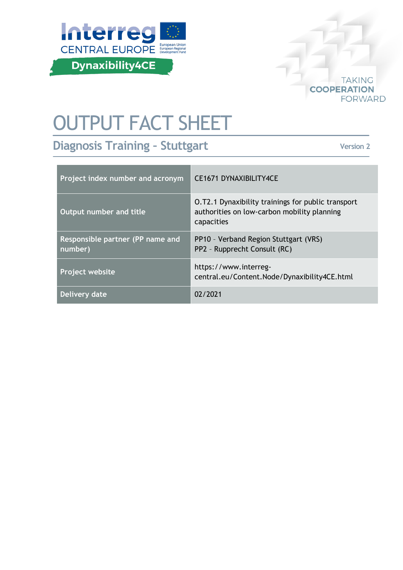



# OUTPUT FACT SHEET

**Diagnosis Training – Stuttgart**

**Version 2**

| Project index number and acronym            | <b>CE1671 DYNAXIBILITY4CE</b>                                                                                   |
|---------------------------------------------|-----------------------------------------------------------------------------------------------------------------|
| Output number and title                     | O.T2.1 Dynaxibility trainings for public transport<br>authorities on low-carbon mobility planning<br>capacities |
| Responsible partner (PP name and<br>number) | PP10 - Verband Region Stuttgart (VRS)<br>PP2 - Rupprecht Consult (RC)                                           |
| Project website                             | https://www.interreg-<br>central.eu/Content.Node/Dynaxibility4CE.html                                           |
| Delivery date                               | 02/2021                                                                                                         |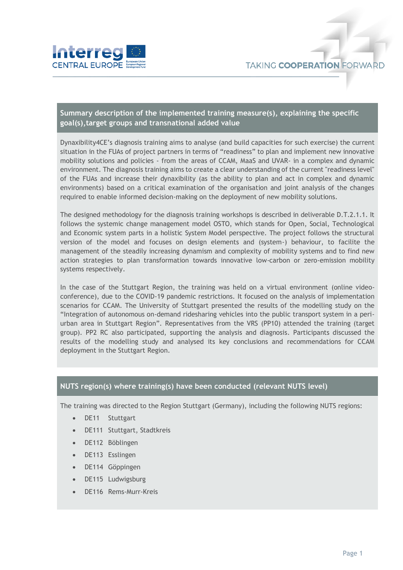

## **Summary description of the implemented training measure(s), explaining the specific goal(s),target groups and transnational added value**

Dynaxibility4CE's diagnosis training aims to analyse (and build capacities for such exercise) the current situation in the FUAs of project partners in terms of "readiness" to plan and implement new innovative mobility solutions and policies - from the areas of CCAM, MaaS and UVAR- in a complex and dynamic environment. The diagnosis training aims to create a clear understanding of the current "readiness level" of the FUAs and increase their dynaxibility (as the ability to plan and act in complex and dynamic environments) based on a critical examination of the organisation and joint analysis of the changes required to enable informed decision-making on the deployment of new mobility solutions.

The designed methodology for the diagnosis training workshops is described in deliverable D.T.2.1.1. It follows the systemic change management model OSTO, which stands for Open, Social, Technological and Economic system parts in a holistic System Model perspective. The project follows the structural version of the model and focuses on design elements and (system-) behaviour, to facilite the management of the steadily increasing dynamism and complexity of mobility systems and to find new action strategies to plan transformation towards innovative low-carbon or zero-emission mobility systems respectively.

In the case of the Stuttgart Region, the training was held on a virtual environment (online videoconference), due to the COVID-19 pandemic restrictions. It focused on the analysis of implementation scenarios for CCAM. The University of Stuttgart presented the results of the modelling study on the "Integration of autonomous on-demand ridesharing vehicles into the public transport system in a periurban area in Stuttgart Region". Representatives from the VRS (PP10) attended the training (target group). PP2 RC also participated, supporting the analysis and diagnosis. Participants discussed the results of the modelling study and analysed its key conclusions and recommendations for CCAM deployment in the Stuttgart Region.

#### **NUTS region(s) where training(s) have been conducted (relevant NUTS level)**

The training was directed to the Region Stuttgart (Germany), including the following NUTS regions:

- DE11 Stuttgart
- DE111 Stuttgart, Stadtkreis
- DE112 Böblingen
- DE113 Esslingen
- DE114 Göppingen
- DE115 Ludwigsburg
- DE116 Rems-Murr-Kreis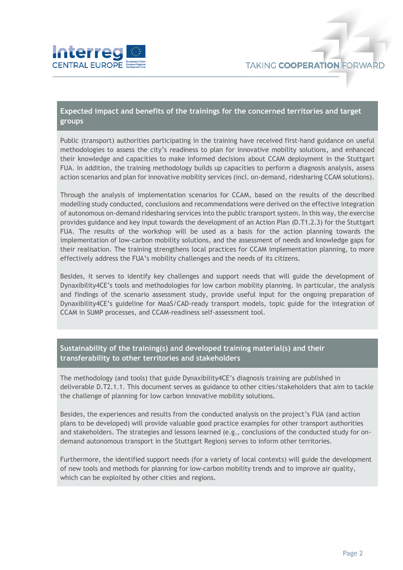

## **Expected impact and benefits of the trainings for the concerned territories and target groups**

Public (transport) authorities participating in the training have received first-hand guidance on useful methodologies to assess the city's readiness to plan for innovative mobility solutions, and enhanced their knowledge and capacities to make informed decisions about CCAM deployment in the Stuttgart FUA. In addition, the training methodology builds up capacities to perform a diagnosis analysis, assess action scenarios and plan for innovative mobility services (incl. on-demand, ridesharing CCAM solutions).

Through the analysis of implementation scenarios for CCAM, based on the results of the described modelling study conducted, conclusions and recommendations were derived on the effective integration of autonomous on-demand ridesharing services into the public transport system. In this way, the exercise provides guidance and key input towards the development of an Action Plan (D.T1.2.3) for the Stuttgart FUA. The results of the workshop will be used as a basis for the action planning towards the implementation of low-carbon mobility solutions, and the assessment of needs and knowledge gaps for their realisation. The training strengthens local practices for CCAM implementation planning, to more effectively address the FUA's mobility challenges and the needs of its citizens.

Besides, it serves to identify key challenges and support needs that will guide the development of Dynaxibility4CE's tools and methodologies for low carbon mobility planning. In particular, the analysis and findings of the scenario assessment study, provide useful input for the ongoing preparation of Dynaxibility4CE's guideline for MaaS/CAD-ready transport models, topic guide for the integration of CCAM in SUMP processes, and CCAM-readiness self-assessment tool.

### **Sustainability of the training(s) and developed training material(s) and their transferability to other territories and stakeholders**

The methodology (and tools) that guide Dynaxibility4CE's diagnosis training are published in deliverable D.T2.1.1. This document serves as guidance to other cities/stakeholders that aim to tackle the challenge of planning for low carbon innovative mobility solutions.

Besides, the experiences and results from the conducted analysis on the project's FUA (and action plans to be developed) will provide valuable good practice examples for other transport authorities and stakeholders. The strategies and lessons learned (e.g., conclusions of the conducted study for ondemand autonomous transport in the Stuttgart Region) serves to inform other territories.

Furthermore, the identified support needs (for a variety of local contexts) will guide the development of new tools and methods for planning for low-carbon mobility trends and to improve air quality, which can be exploited by other cities and regions.